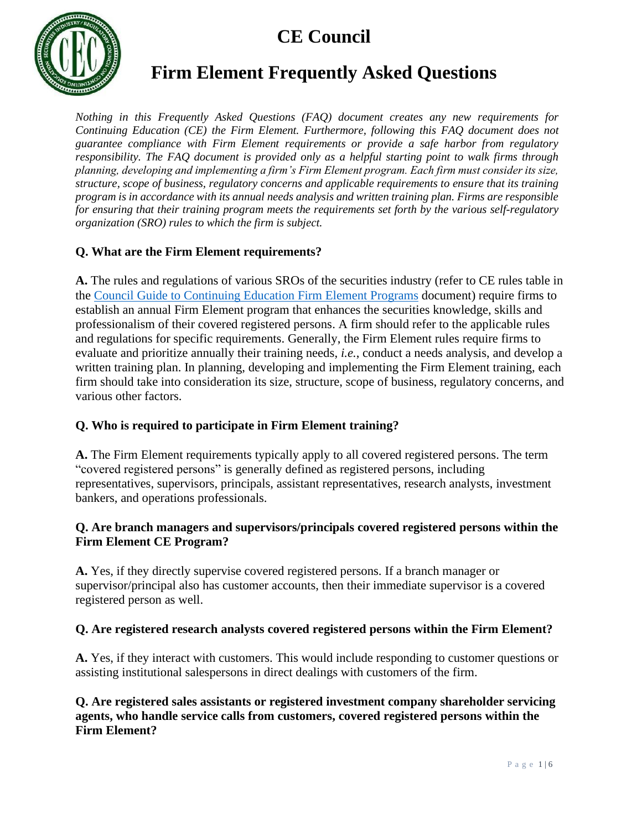

### **Firm Element Frequently Asked Questions**

*Nothing in this Frequently Asked Questions (FAQ) document creates any new requirements for Continuing Education (CE) the Firm Element. Furthermore, following this FAQ document does not guarantee compliance with Firm Element requirements or provide a safe harbor from regulatory responsibility. The FAQ document is provided only as a helpful starting point to walk firms through planning, developing and implementing a firm's Firm Element program. Each firm must consider its size, structure, scope of business, regulatory concerns and applicable requirements to ensure that its training program is in accordance with its annual needs analysis and written training plan. Firms are responsible for ensuring that their training program meets the requirements set forth by the various self-regulatory organization (SRO) rules to which the firm is subject.*

### **Q. What are the Firm Element requirements?**

**A.** The rules and regulations of various SROs of the securities industry (refer to CE rules table in the [Council Guide to Continuing Education Firm Element](http://www.cecouncil.com/media/266855/ce-council-guide-to-firm-element-ce-programs.pdf) Programs document) require firms to establish an annual Firm Element program that enhances the securities knowledge, skills and professionalism of their covered registered persons. A firm should refer to the applicable rules and regulations for specific requirements. Generally, the Firm Element rules require firms to evaluate and prioritize annually their training needs, *i.e.*, conduct a needs analysis, and develop a written training plan. In planning, developing and implementing the Firm Element training, each firm should take into consideration its size, structure, scope of business, regulatory concerns, and various other factors.

### **Q. Who is required to participate in Firm Element training?**

**A.** The Firm Element requirements typically apply to all covered registered persons. The term "covered registered persons" is generally defined as registered persons, including representatives, supervisors, principals, assistant representatives, research analysts, investment bankers, and operations professionals.

### **Q. Are branch managers and supervisors/principals covered registered persons within the Firm Element CE Program?**

**A.** Yes, if they directly supervise covered registered persons. If a branch manager or supervisor/principal also has customer accounts, then their immediate supervisor is a covered registered person as well.

### **Q. Are registered research analysts covered registered persons within the Firm Element?**

**A.** Yes, if they interact with customers. This would include responding to customer questions or assisting institutional salespersons in direct dealings with customers of the firm.

**Q. Are registered sales assistants or registered investment company shareholder servicing agents, who handle service calls from customers, covered registered persons within the Firm Element?**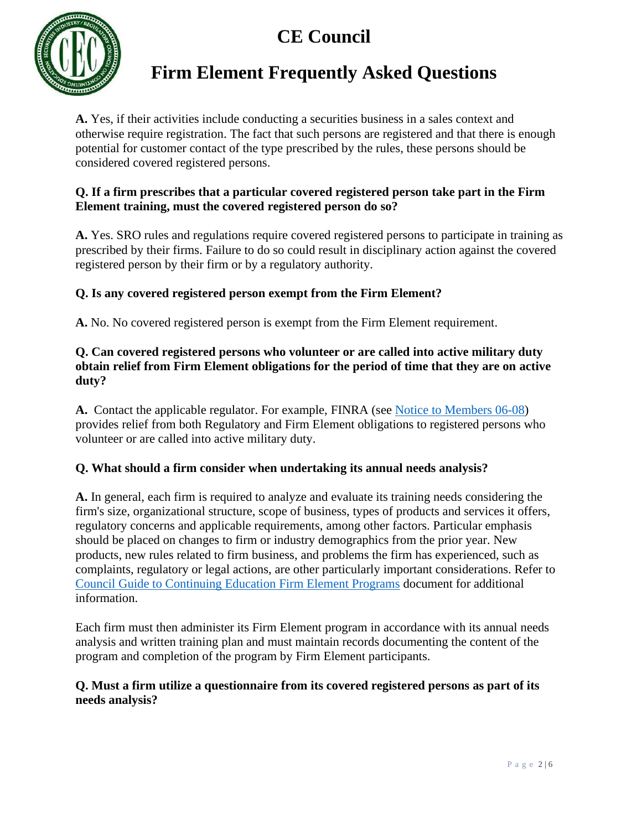

### **Firm Element Frequently Asked Questions**

**A.** Yes, if their activities include conducting a securities business in a sales context and otherwise require registration. The fact that such persons are registered and that there is enough potential for customer contact of the type prescribed by the rules, these persons should be considered covered registered persons.

### **Q. If a firm prescribes that a particular covered registered person take part in the Firm Element training, must the covered registered person do so?**

**A.** Yes. SRO rules and regulations require covered registered persons to participate in training as prescribed by their firms. Failure to do so could result in disciplinary action against the covered registered person by their firm or by a regulatory authority.

### **Q. Is any covered registered person exempt from the Firm Element?**

**A.** No. No covered registered person is exempt from the Firm Element requirement.

### **Q. Can covered registered persons who volunteer or are called into active military duty obtain relief from Firm Element obligations for the period of time that they are on active duty?**

**A.** Contact the applicable regulator. For example, FINRA (see [Notice to Members 06-08\)](https://www.finra.org/rules-guidance/notices/06-08) provides relief from both Regulatory and Firm Element obligations to registered persons who volunteer or are called into active military duty.

### **Q. What should a firm consider when undertaking its annual needs analysis?**

**A.** In general, each firm is required to analyze and evaluate its training needs considering the firm's size, organizational structure, scope of business, types of products and services it offers, regulatory concerns and applicable requirements, among other factors. Particular emphasis should be placed on changes to firm or industry demographics from the prior year. New products, new rules related to firm business, and problems the firm has experienced, such as complaints, regulatory or legal actions, are other particularly important considerations. Refer to [Council Guide to Continuing Education Firm Element](http://www.cecouncil.com/media/266855/ce-council-guide-to-firm-element-ce-programs.pdf) Programs document for additional information.

Each firm must then administer its Firm Element program in accordance with its annual needs analysis and written training plan and must maintain records documenting the content of the program and completion of the program by Firm Element participants.

### **Q. Must a firm utilize a questionnaire from its covered registered persons as part of its needs analysis?**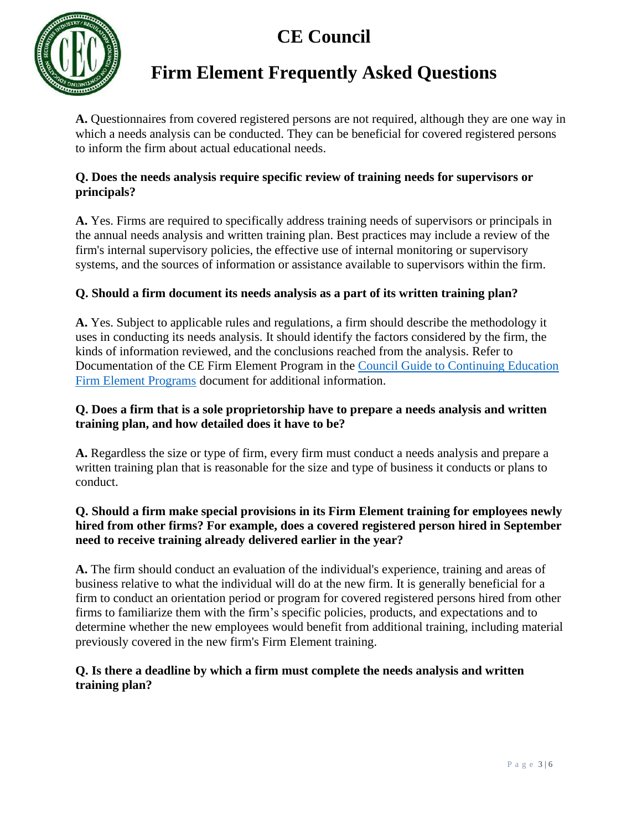

### **Firm Element Frequently Asked Questions**

**A.** Questionnaires from covered registered persons are not required, although they are one way in which a needs analysis can be conducted. They can be beneficial for covered registered persons to inform the firm about actual educational needs.

#### **Q. Does the needs analysis require specific review of training needs for supervisors or principals?**

**A.** Yes. Firms are required to specifically address training needs of supervisors or principals in the annual needs analysis and written training plan. Best practices may include a review of the firm's internal supervisory policies, the effective use of internal monitoring or supervisory systems, and the sources of information or assistance available to supervisors within the firm.

### **Q. Should a firm document its needs analysis as a part of its written training plan?**

**A.** Yes. Subject to applicable rules and regulations, a firm should describe the methodology it uses in conducting its needs analysis. It should identify the factors considered by the firm, the kinds of information reviewed, and the conclusions reached from the analysis. Refer to Documentation of the CE Firm Element Program in the [Council Guide to Continuing Education](http://www.cecouncil.com/media/266855/ce-council-guide-to-firm-element-ce-programs.pdf)  [Firm Element](http://www.cecouncil.com/media/266855/ce-council-guide-to-firm-element-ce-programs.pdf) Programs document for additional information.

### **Q. Does a firm that is a sole proprietorship have to prepare a needs analysis and written training plan, and how detailed does it have to be?**

**A.** Regardless the size or type of firm, every firm must conduct a needs analysis and prepare a written training plan that is reasonable for the size and type of business it conducts or plans to conduct.

### **Q. Should a firm make special provisions in its Firm Element training for employees newly hired from other firms? For example, does a covered registered person hired in September need to receive training already delivered earlier in the year?**

**A.** The firm should conduct an evaluation of the individual's experience, training and areas of business relative to what the individual will do at the new firm. It is generally beneficial for a firm to conduct an orientation period or program for covered registered persons hired from other firms to familiarize them with the firm's specific policies, products, and expectations and to determine whether the new employees would benefit from additional training, including material previously covered in the new firm's Firm Element training.

### **Q. Is there a deadline by which a firm must complete the needs analysis and written training plan?**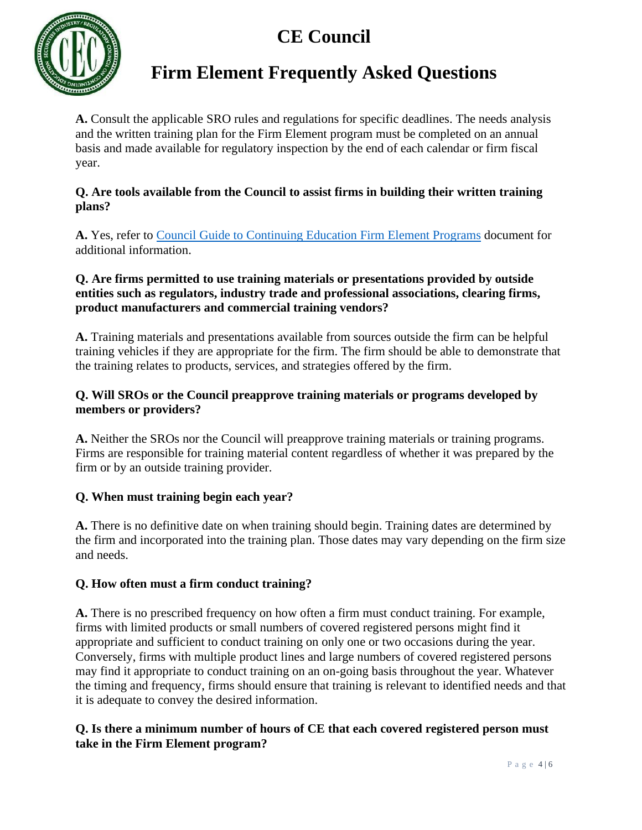

## **Firm Element Frequently Asked Questions**

**A.** Consult the applicable SRO rules and regulations for specific deadlines. The needs analysis and the written training plan for the Firm Element program must be completed on an annual basis and made available for regulatory inspection by the end of each calendar or firm fiscal year.

### **Q. Are tools available from the Council to assist firms in building their written training plans?**

**A.** Yes, refer to Council Guide to Continuing Education [Firm Element Programs](http://www.cecouncil.com/media/266855/ce-council-guide-to-firm-element-ce-programs.pdf) document for additional information.

### **Q. Are firms permitted to use training materials or presentations provided by outside entities such as regulators, industry trade and professional associations, clearing firms, product manufacturers and commercial training vendors?**

**A.** Training materials and presentations available from sources outside the firm can be helpful training vehicles if they are appropriate for the firm. The firm should be able to demonstrate that the training relates to products, services, and strategies offered by the firm.

### **Q. Will SROs or the Council preapprove training materials or programs developed by members or providers?**

A. Neither the SROs nor the Council will preapprove training materials or training programs. Firms are responsible for training material content regardless of whether it was prepared by the firm or by an outside training provider.

### **Q. When must training begin each year?**

**A.** There is no definitive date on when training should begin. Training dates are determined by the firm and incorporated into the training plan. Those dates may vary depending on the firm size and needs.

### **Q. How often must a firm conduct training?**

**A.** There is no prescribed frequency on how often a firm must conduct training. For example, firms with limited products or small numbers of covered registered persons might find it appropriate and sufficient to conduct training on only one or two occasions during the year. Conversely, firms with multiple product lines and large numbers of covered registered persons may find it appropriate to conduct training on an on-going basis throughout the year. Whatever the timing and frequency, firms should ensure that training is relevant to identified needs and that it is adequate to convey the desired information.

### **Q. Is there a minimum number of hours of CE that each covered registered person must take in the Firm Element program?**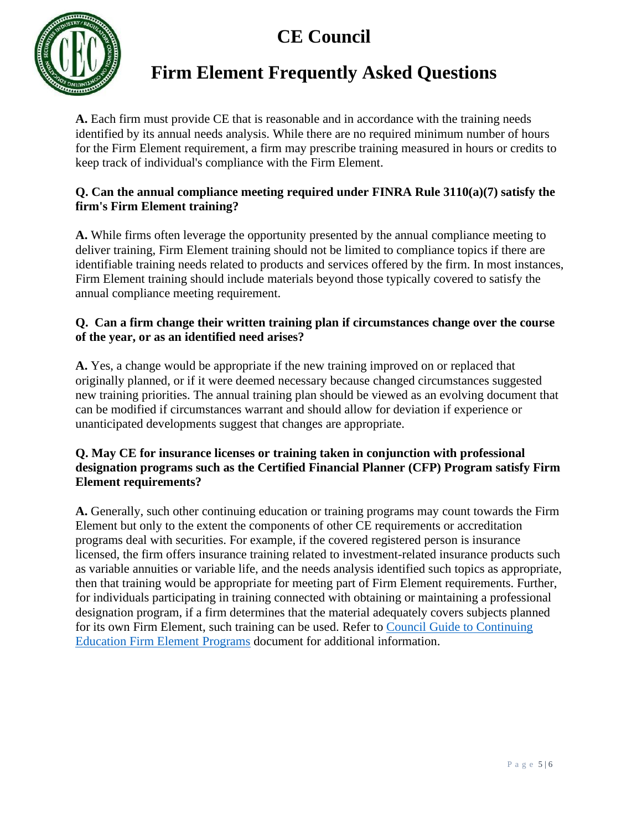

## **Firm Element Frequently Asked Questions**

**A.** Each firm must provide CE that is reasonable and in accordance with the training needs identified by its annual needs analysis. While there are no required minimum number of hours for the Firm Element requirement, a firm may prescribe training measured in hours or credits to keep track of individual's compliance with the Firm Element.

### **Q. Can the annual compliance meeting required under FINRA Rule 3110(a)(7) satisfy the firm's Firm Element training?**

**A.** While firms often leverage the opportunity presented by the annual compliance meeting to deliver training, Firm Element training should not be limited to compliance topics if there are identifiable training needs related to products and services offered by the firm. In most instances, Firm Element training should include materials beyond those typically covered to satisfy the annual compliance meeting requirement.

### **Q. Can a firm change their written training plan if circumstances change over the course of the year, or as an identified need arises?**

**A.** Yes, a change would be appropriate if the new training improved on or replaced that originally planned, or if it were deemed necessary because changed circumstances suggested new training priorities. The annual training plan should be viewed as an evolving document that can be modified if circumstances warrant and should allow for deviation if experience or unanticipated developments suggest that changes are appropriate.

### **Q. May CE for insurance licenses or training taken in conjunction with professional designation programs such as the Certified Financial Planner (CFP) Program satisfy Firm Element requirements?**

**A.** Generally, such other continuing education or training programs may count towards the Firm Element but only to the extent the components of other CE requirements or accreditation programs deal with securities. For example, if the covered registered person is insurance licensed, the firm offers insurance training related to investment-related insurance products such as variable annuities or variable life, and the needs analysis identified such topics as appropriate, then that training would be appropriate for meeting part of Firm Element requirements. Further, for individuals participating in training connected with obtaining or maintaining a professional designation program, if a firm determines that the material adequately covers subjects planned for its own Firm Element, such training can be used. Refer to [Council Guide to Continuing](http://www.cecouncil.com/media/266855/ce-council-guide-to-firm-element-ce-programs.pdf)  [Education Firm Element](http://www.cecouncil.com/media/266855/ce-council-guide-to-firm-element-ce-programs.pdf) Programs document for additional information.